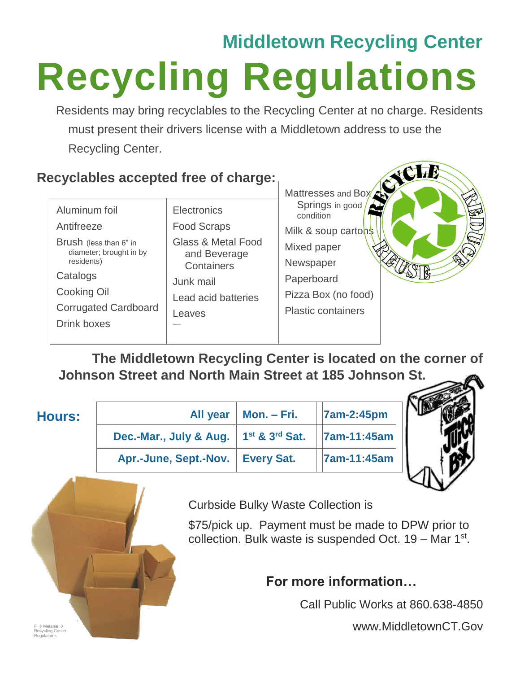## **Middletown Recycling Center Recycling Regulations**

Residents may bring recyclables to the Recycling Center at no charge. Residents must present their drivers license with a Middletown address to use the Recycling Center.

## **Recyclables accepted free of charge:**

|                                                   |                                               | Mattresses and Box 25        |  |
|---------------------------------------------------|-----------------------------------------------|------------------------------|--|
| Aluminum foil                                     | <b>Electronics</b>                            | Springs in good<br>condition |  |
| Antifreeze                                        | <b>Food Scraps</b>                            | Milk & soup cartons          |  |
| Brush (less than 6" in<br>diameter; brought in by | <b>Glass &amp; Metal Food</b><br>and Beverage | Mixed paper                  |  |
| residents)                                        | Containers                                    | Newspaper                    |  |
| Catalogs                                          | Junk mail                                     | Paperboard                   |  |
| Cooking Oil                                       | Lead acid batteries                           | Pizza Box (no food)          |  |
| <b>Corrugated Cardboard</b>                       | Leaves                                        | <b>Plastic containers</b>    |  |
| <b>Drink boxes</b>                                | Magazine                                      |                              |  |
|                                                   |                                               |                              |  |

**The Middletown Recycling Center is located on the corner of Johnson Street and North Main Street at 185 Johnson St.** 

| <b>Hours:</b> | All year                                                        | Mon. – Fri. | <b>7am-2:45pm</b> |
|---------------|-----------------------------------------------------------------|-------------|-------------------|
|               | Dec.-Mar., July & Aug.   1 <sup>st</sup> & 3 <sup>rd</sup> Sat. |             | 7am-11:45am       |
|               | Apr.-June, Sept.-Nov.   Every Sat.                              |             | 7am-11:45am       |



Curbside Bulky Waste Collection is

\$75/pick up. Payment must be made to DPW prior to collection. Bulk waste is suspended Oct.  $19 -$  Mar  $1<sup>st</sup>$ .

## **For more information…**

Call Public Works at 860.638-4850

www.MiddletownCT.Gov